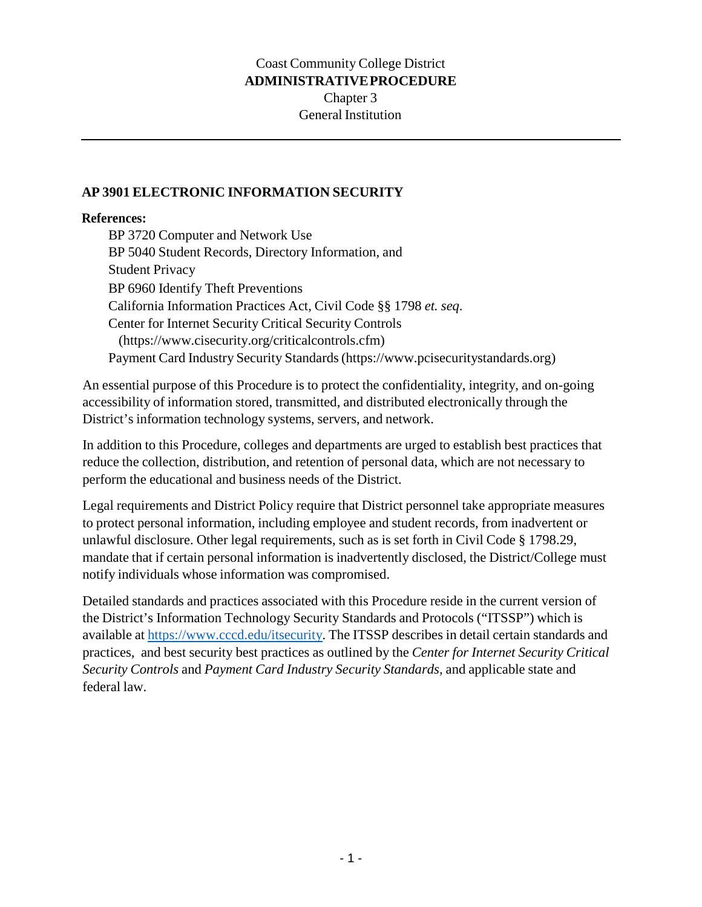## Coast Community College District **ADMINISTRATIVE PROCEDURE** Chapter 3 General Institution

## **AP 3901 ELECTRONIC INFORMATION SECURITY**

## **References:**

BP 3720 Computer and Network Use BP 5040 Student Records, Directory Information, and Student Privacy BP 6960 Identify Theft Preventions California Information Practices Act, Civil Code §§ 1798 *et. seq*. Center for Internet Security Critical Security Controls (https://www.cisecurity.org/criticalcontrols.cfm) Payment Card Industry Security Standards (https://www.pcisecuritystandards.org)

An essential purpose of this Procedure is to protect the confidentiality, integrity, and on-going accessibility of information stored, transmitted, and distributed electronically through the District's information technology systems, servers, and network.

In addition to this Procedure, colleges and departments are urged to establish best practices that reduce the collection, distribution, and retention of personal data, which are not necessary to perform the educational and business needs of the District.

Legal requirements and District Policy require that District personnel take appropriate measures to protect personal information, including employee and student records, from inadvertent or unlawful disclosure. Other legal requirements, such as is set forth in Civil Code § 1798.29, mandate that if certain personal information is inadvertently disclosed, the District/College must notify individuals whose information was compromised.

Detailed standards and practices associated with this Procedure reside in the current version of the District's Information Technology Security Standards and Protocols ("ITSSP") which is available at https://www.cccd.edu/itsecurity. The ITSSP describes in detail certain standards and practices, and best security best practices as outlined by the *Center for Internet Security Critical Security Controls* and *Payment Card Industry Security Standards,* and applicable state and federal law.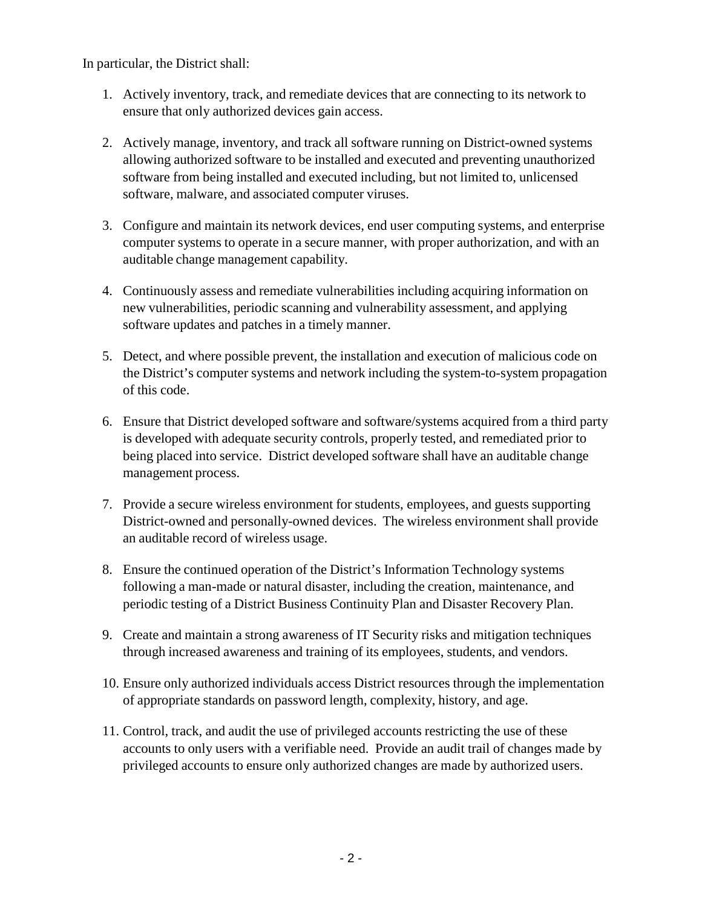In particular, the District shall:

- 1. Actively inventory, track, and remediate devices that are connecting to its network to ensure that only authorized devices gain access.
- 2. Actively manage, inventory, and track all software running on District-owned systems allowing authorized software to be installed and executed and preventing unauthorized software from being installed and executed including, but not limited to, unlicensed software, malware, and associated computer viruses.
- 3. Configure and maintain its network devices, end user computing systems, and enterprise computer systems to operate in a secure manner, with proper authorization, and with an auditable change management capability.
- 4. Continuously assess and remediate vulnerabilities including acquiring information on new vulnerabilities, periodic scanning and vulnerability assessment, and applying software updates and patches in a timely manner.
- 5. Detect, and where possible prevent, the installation and execution of malicious code on the District's computer systems and network including the system-to-system propagation of this code.
- 6. Ensure that District developed software and software/systems acquired from a third party is developed with adequate security controls, properly tested, and remediated prior to being placed into service. District developed software shall have an auditable change management process.
- 7. Provide a secure wireless environment for students, employees, and guests supporting District-owned and personally-owned devices. The wireless environment shall provide an auditable record of wireless usage.
- 8. Ensure the continued operation of the District's Information Technology systems following a man-made or natural disaster, including the creation, maintenance, and periodic testing of a District Business Continuity Plan and Disaster Recovery Plan.
- 9. Create and maintain a strong awareness of IT Security risks and mitigation techniques through increased awareness and training of its employees, students, and vendors.
- 10. Ensure only authorized individuals access District resources through the implementation of appropriate standards on password length, complexity, history, and age.
- 11. Control, track, and audit the use of privileged accounts restricting the use of these accounts to only users with a verifiable need. Provide an audit trail of changes made by privileged accounts to ensure only authorized changes are made by authorized users.